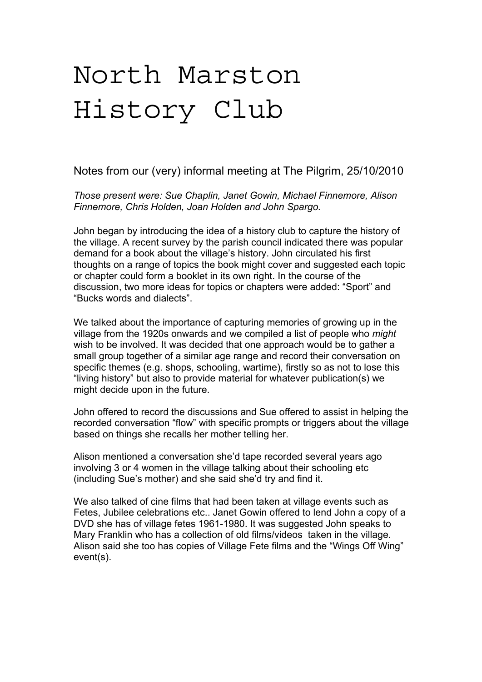## North Marston History Club

Notes from our (very) informal meeting at The Pilgrim, 25/10/2010

*Those present were: Sue Chaplin, Janet Gowin, Michael Finnemore, Alison Finnemore, Chris Holden, Joan Holden and John Spargo.*

John began by introducing the idea of a history club to capture the history of the village. A recent survey by the parish council indicated there was popular demand for a book about the village's history. John circulated his first thoughts on a range of topics the book might cover and suggested each topic or chapter could form a booklet in its own right. In the course of the discussion, two more ideas for topics or chapters were added: "Sport" and "Bucks words and dialects".

We talked about the importance of capturing memories of growing up in the village from the 1920s onwards and we compiled a list of people who *might* wish to be involved. It was decided that one approach would be to gather a small group together of a similar age range and record their conversation on specific themes (e.g. shops, schooling, wartime), firstly so as not to lose this "living history" but also to provide material for whatever publication(s) we might decide upon in the future.

John offered to record the discussions and Sue offered to assist in helping the recorded conversation "flow" with specific prompts or triggers about the village based on things she recalls her mother telling her.

Alison mentioned a conversation she'd tape recorded several years ago involving 3 or 4 women in the village talking about their schooling etc (including Sue's mother) and she said she'd try and find it.

We also talked of cine films that had been taken at village events such as Fetes, Jubilee celebrations etc.. Janet Gowin offered to lend John a copy of a DVD she has of village fetes 1961-1980. It was suggested John speaks to Mary Franklin who has a collection of old films/videos taken in the village. Alison said she too has copies of Village Fete films and the "Wings Off Wing" event(s).